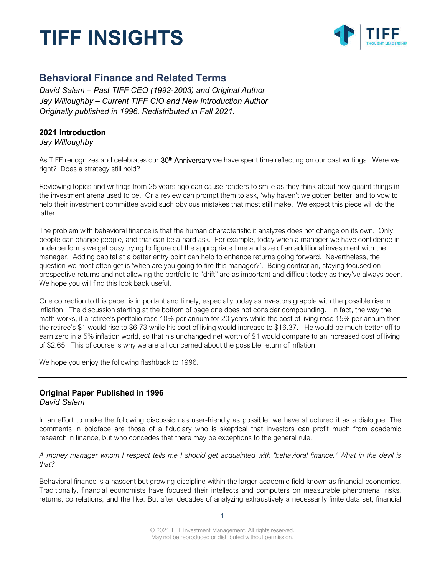

### **Behavioral Finance and Related Terms**

*David Salem – Past TIFF CEO (1992-2003) and Original Author Jay Willoughby – Current TIFF CIO and New Introduction Author Originally published in 1996. Redistributed in Fall 2021.*

### **2021 Introduction**

*Jay Willoughby*

As TIFF recognizes and celebrates our 30<sup>th</sup> Anniversary we have spent time reflecting on our past writings. Were we right? Does a strategy still hold?

Reviewing topics and writings from 25 years ago can cause readers to smile as they think about how quaint things in the investment arena used to be. Or a review can prompt them to ask, 'why haven't we gotten better' and to vow to help their investment committee avoid such obvious mistakes that most still make. We expect this piece will do the latter.

The problem with behavioral finance is that the human characteristic it analyzes does not change on its own. Only people can change people, and that can be a hard ask. For example, today when a manager we have confidence in underperforms we get busy trying to figure out the appropriate time and size of an additional investment with the manager. Adding capital at a better entry point can help to enhance returns going forward. Nevertheless, the question we most often get is 'when are you going to fire this manager?'. Being contrarian, staying focused on prospective returns and not allowing the portfolio to "drift" are as important and difficult today as they've always been. We hope you will find this look back useful.

One correction to this paper is important and timely, especially today as investors grapple with the possible rise in inflation. The discussion starting at the bottom of page one does not consider compounding. In fact, the way the math works, if a retiree's portfolio rose 10% per annum for 20 years while the cost of living rose 15% per annum then the retiree's \$1 would rise to \$6.73 while his cost of living would increase to \$16.37. He would be much better off to earn zero in a 5% inflation world, so that his unchanged net worth of \$1 would compare to an increased cost of living of \$2.65. This of course is why we are all concerned about the possible return of inflation.

We hope you enjoy the following flashback to 1996.

### **Original Paper Published in 1996** *David Salem*

In an effort to make the following discussion as user-friendly as possible, we have structured it as a dialogue. The comments in boldface are those of a fiduciary who is skeptical that investors can profit much from academic research in finance, but who concedes that there may be exceptions to the general rule.

*A money manager whom I respect tells me I should get acquainted with "behavioral finance." What in the devil is that?*

Behavioral finance is a nascent but growing discipline within the larger academic field known as financial economics. Traditionally, financial economists have focused their intellects and computers on measurable phenomena: risks, returns, correlations, and the like. But after decades of analyzing exhaustively a necessarily finite data set, financial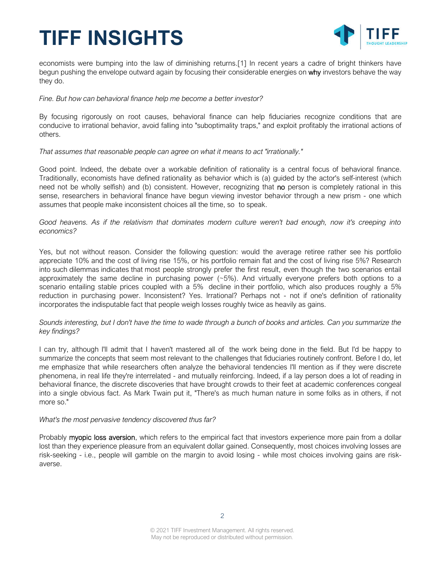

economists were bumping into the law of diminishing returns.[1] In recent years a cadre of bright thinkers have begun pushing the envelope outward again by focusing their considerable energies on why investors behave the way they do.

### *Fine. But how can behavioral finance help me become a better investor?*

By focusing rigorously on root causes, behavioral finance can help fiduciaries recognize conditions that are conducive to irrational behavior, avoid falling into "suboptimality traps," and exploit profitably the irrational actions of others.

### *That assumes that reasonable people can agree on what it means to act "irrationally."*

Good point. Indeed, the debate over a workable definition of rationality is a central focus of behavioral finance. Traditionally, economists have defined rationality as behavior which is (a) guided by the actor's self-interest (which need not be wholly selfish) and (b) consistent. However, recognizing that no person is completely rational in this sense, researchers in behavioral finance have begun viewing investor behavior through a new prism - one which assumes that people make inconsistent choices all the time, so to speak.

*Good heavens. As if the relativism that dominates modern culture weren't bad enough, now it's creeping into economics?*

Yes, but not without reason. Consider the following question: would the average retiree rather see his portfolio appreciate 10% and the cost of living rise 15%, or his portfolio remain flat and the cost of living rise 5%? Research into such dilemmas indicates that most people strongly prefer the first result, even though the two scenarios entail approximately the same decline in purchasing power (~5%). And virtually everyone prefers both options to a scenario entailing stable prices coupled with a 5% decline in their portfolio, which also produces roughly a 5% reduction in purchasing power. Inconsistent? Yes. Irrational? Perhaps not - not if one's definition of rationality incorporates the indisputable fact that people weigh losses roughly twice as heavily as gains.

### *Sounds interesting, but I don't have the time to wade through a bunch of books and articles. Can you summarize the key findings?*

I can try, although I'll admit that I haven't mastered all of the work being done in the field. But I'd be happy to summarize the concepts that seem most relevant to the challenges that fiduciaries routinely confront. Before I do, let me emphasize that while researchers often analyze the behavioral tendencies I'll mention as if they were discrete phenomena, in real life they're interrelated - and mutually reinforcing. Indeed, if a lay person does a lot of reading in behavioral finance, the discrete discoveries that have brought crowds to their feet at academic conferences congeal into a single obvious fact. As Mark Twain put it, "There's as much human nature in some folks as in others, if not more so."

### *What's the most pervasive tendency discovered thus far?*

Probably myopic loss aversion, which refers to the empirical fact that investors experience more pain from a dollar lost than they experience pleasure from an equivalent dollar gained. Consequently, most choices involving losses are risk-seeking - i.e., people will gamble on the margin to avoid losing - while most choices involving gains are riskaverse.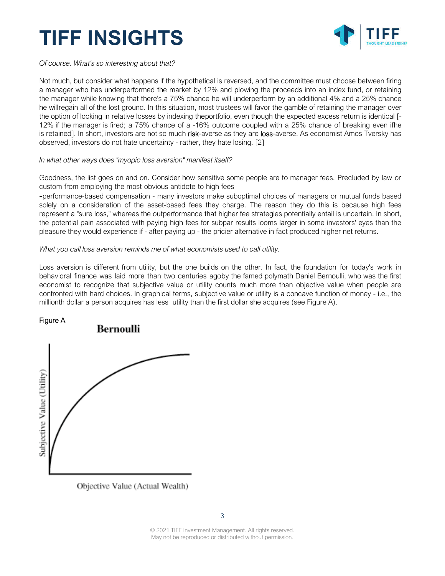

*Of course. What's so interesting about that?*

Not much, but consider what happens if the hypothetical is reversed, and the committee must choose between firing a manager who has underperformed the market by 12% and plowing the proceeds into an index fund, or retaining the manager while knowing that there's a 75% chance he will underperform by an additional 4% and a 25% chance he willregain all of the lost ground. In this situation, most trustees will favor the gamble of retaining the manager over the option of locking in relative losses by indexing theportfolio, even though the expected excess return is identical [- 12% if the manager is fired; a 75% chance of a -16% outcome coupled with a 25% chance of breaking even ifhe is retained]. In short, investors are not so much risk-averse as they are loss-averse. As economist Amos Tversky has observed, investors do not hate uncertainty - rather, they hate losing. [2]

*In what other ways does "myopic loss aversion" manifest itself?*

Goodness, the list goes on and on. Consider how sensitive some people are to manager fees. Precluded by law or custom from employing the most obvious antidote to high fees

-performance-based compensation - many investors make suboptimal choices of managers or mutual funds based solely on a consideration of the asset-based fees they charge. The reason they do this is because high fees represent a "sure loss," whereas the outperformance that higher fee strategies potentially entail is uncertain. In short, the potential pain associated with paying high fees for subpar results looms larger in some investors' eyes than the pleasure they would experience if - after paying up - the pricier alternative in fact produced higher net returns.

*What you call loss aversion reminds me of what economists used to call utility.*

Loss aversion is different from utility, but the one builds on the other. In fact, the foundation for today's work in behavioral finance was laid more than two centuries agoby the famed polymath Daniel Bernoulli, who was the first economist to recognize that subjective value or utility counts much more than objective value when people are confronted with hard choices. In graphical terms, subjective value or utility is a concave function of money - i.e., the millionth dollar a person acquires has less utility than the first dollar she acquires (see Figure A).



Objective Value (Actual Wealth)

© 2021 TIFF Investment Management. All rights reserved. May not be reproduced or distributed without permission.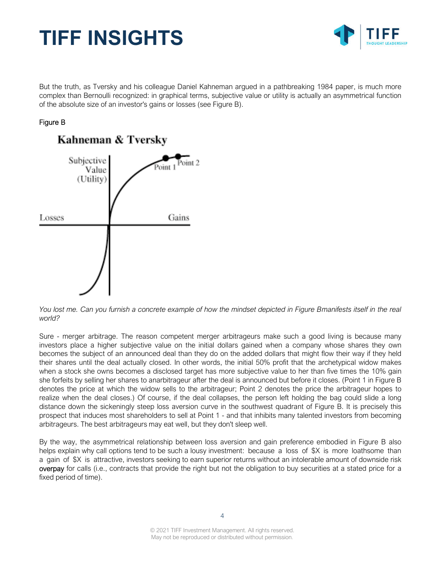

But the truth, as Tversky and his colleague Daniel Kahneman argued in a pathbreaking 1984 paper, is much more complex than Bernoulli recognized: in graphical terms, subjective value or utility is actually an asymmetrical function of the absolute size of an investor's gains or losses (see Figure B).

### Figure B



*You lost me. Can you furnish a concrete example of how the mindset depicted in Figure Bmanifests itself in the real world?*

Sure - merger arbitrage. The reason competent merger arbitrageurs make such a good living is because many investors place a higher subjective value on the initial dollars gained when a company whose shares they own becomes the subject of an announced deal than they do on the added dollars that might flow their way if they held their shares until the deal actually closed. In other words, the initial 50% profit that the archetypical widow makes when a stock she owns becomes a disclosed target has more subjective value to her than five times the 10% gain she forfeits by selling her shares to anarbitrageur after the deal is announced but before it closes. (Point 1 in Figure B denotes the price at which the widow sells to the arbitrageur; Point 2 denotes the price the arbitrageur hopes to realize when the deal closes.) Of course, if the deal collapses, the person left holding the bag could slide a long distance down the sickeningly steep loss aversion curve in the southwest quadrant of Figure B. It is precisely this prospect that induces most shareholders to sell at Point 1 - and that inhibits many talented investors from becoming arbitrageurs. The best arbitrageurs may eat well, but they don't sleep well.

By the way, the asymmetrical relationship between loss aversion and gain preference embodied in Figure B also helps explain why call options tend to be such a lousy investment: because a loss of \$X is more loathsome than a gain of \$X is attractive, investors seeking to earn superior returns without an intolerable amount of downside risk overpay for calls (i.e., contracts that provide the right but not the obligation to buy securities at a stated price for a fixed period of time).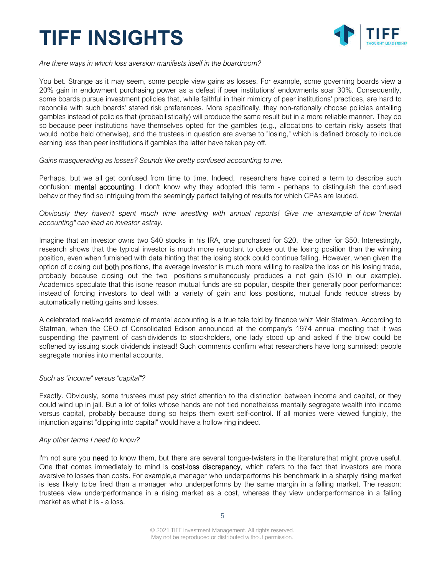

*Are there ways in which loss aversion manifests itself in the boardroom?*

You bet. Strange as it may seem, some people view gains as losses. For example, some governing boards view a 20% gain in endowment purchasing power as a defeat if peer institutions' endowments soar 30%. Consequently, some boards pursue investment policies that, while faithful in their mimicry of peer institutions' practices, are hard to reconcile with such boards' stated risk preferences. More specifically, they non-rationally choose policies entailing gambles instead of policies that (probabilistically) will produce the same result but in a more reliable manner. They do so because peer institutions have themselves opted for the gambles (e.g., allocations to certain risky assets that would notbe held otherwise), and the trustees in question are averse to "losing," which is defined broadly to include earning less than peer institutions if gambles the latter have taken pay off.

### *Gains masquerading as losses? Sounds like pretty confused accounting to me.*

Perhaps, but we all get confused from time to time. Indeed, researchers have coined a term to describe such confusion: mental accounting. I don't know why they adopted this term - perhaps to distinguish the confused behavior they find so intriguing from the seemingly perfect tallying of results for which CPAs are lauded.

### *Obviously they haven't spent much time wrestling with annual reports! Give me anexample of how "mental accounting" can lead an investor astray.*

Imagine that an investor owns two \$40 stocks in his IRA, one purchased for \$20, the other for \$50. Interestingly, research shows that the typical investor is much more reluctant to close out the losing position than the winning position, even when furnished with data hinting that the losing stock could continue falling. However, when given the option of closing out both positions, the average investor is much more willing to realize the loss on his losing trade, probably because closing out the two positions simultaneously produces a net gain (\$10 in our example). Academics speculate that this isone reason mutual funds are so popular, despite their generally poor performance: instead of forcing investors to deal with a variety of gain and loss positions, mutual funds reduce stress by automatically netting gains and losses.

A celebrated real-world example of mental accounting is a true tale told by finance whiz Meir Statman. According to Statman, when the CEO of Consolidated Edison announced at the company's 1974 annual meeting that it was suspending the payment of cash dividends to stockholders, one lady stood up and asked if the blow could be softened by issuing stock dividends instead! Such comments confirm what researchers have long surmised: people segregate monies into mental accounts.

### *Such as "income" versus "capital"?*

Exactly. Obviously, some trustees must pay strict attention to the distinction between income and capital, or they could wind up in jail. But a lot of folks whose hands are not tied nonetheless mentally segregate wealth into income versus capital, probably because doing so helps them exert self-control. If all monies were viewed fungibly, the injunction against "dipping into capital" would have a hollow ring indeed.

### *Any other terms I need to know?*

I'm not sure you need to know them, but there are several tongue-twisters in the literaturethat might prove useful. One that comes immediately to mind is **cost-loss discrepancy**, which refers to the fact that investors are more aversive to losses than costs. For example,a manager who underperforms his benchmark in a sharply rising market is less likely tobe fired than a manager who underperforms by the same margin in a falling market. The reason: trustees view underperformance in a rising market as a cost, whereas they view underperformance in a falling market as what it is - a loss.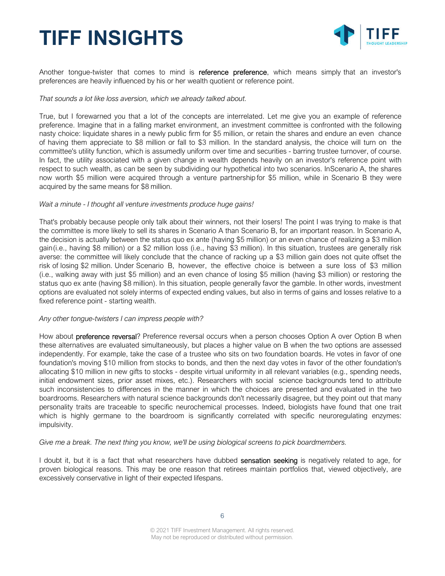

Another tongue-twister that comes to mind is reference preference, which means simply that an investor's preferences are heavily influenced by his or her wealth quotient or reference point.

### *That sounds a lot like loss aversion, which we already talked about.*

True, but I forewarned you that a lot of the concepts are interrelated. Let me give you an example of reference preference. Imagine that in a falling market environment, an investment committee is confronted with the following nasty choice: liquidate shares in a newly public firm for \$5 million, or retain the shares and endure an even chance of having them appreciate to \$8 million or fall to \$3 million. In the standard analysis, the choice will turn on the committee's utility function, which is assumedly uniform over time and securities - barring trustee turnover, of course. In fact, the utility associated with a given change in wealth depends heavily on an investor's reference point with respect to such wealth, as can be seen by subdividing our hypothetical into two scenarios. InScenario A, the shares now worth \$5 million were acquired through a venture partnership for \$5 million, while in Scenario B they were acquired by the same means for \$8 million.

### *Wait a minute - I thought all venture investments produce huge gains!*

That's probably because people only talk about their winners, not their losers! The point I was trying to make is that the committee is more likely to sell its shares in Scenario A than Scenario B, for an important reason. In Scenario A, the decision is actually between the status quo ex ante (having \$5 million) or an even chance of realizing a \$3 million gain(i.e., having \$8 million) or a \$2 million loss (i.e., having \$3 million). In this situation, trustees are generally risk averse: the committee will likely conclude that the chance of racking up a \$3 million gain does not quite offset the risk of losing \$2 million. Under Scenario B, however, the effective choice is between a sure loss of \$3 million (i.e., walking away with just \$5 million) and an even chance of losing \$5 million (having \$3 million) or restoring the status quo ex ante (having \$8 million). In this situation, people generally favor the gamble. In other words, investment options are evaluated not solely interms of expected ending values, but also in terms of gains and losses relative to a fixed reference point - starting wealth.

### *Any other tongue-twisters I can impress people with?*

How about **preference reversal**? Preference reversal occurs when a person chooses Option A over Option B when these alternatives are evaluated simultaneously, but places a higher value on B when the two options are assessed independently. For example, take the case of a trustee who sits on two foundation boards. He votes in favor of one foundation's moving \$10 million from stocks to bonds, and then the next day votes in favor of the other foundation's allocating \$10 million in new gifts to stocks - despite virtual uniformity in all relevant variables (e.g., spending needs, initial endowment sizes, prior asset mixes, etc.). Researchers with social science backgrounds tend to attribute such inconsistencies to differences in the manner in which the choices are presented and evaluated in the two boardrooms. Researchers with natural science backgrounds don't necessarily disagree, but they point out that many personality traits are traceable to specific neurochemical processes. Indeed, biologists have found that one trait which is highly germane to the boardroom is significantly correlated with specific neuroregulating enzymes: impulsivity.

### *Give me a break. The next thing you know, we'll be using biological screens to pick boardmembers.*

I doubt it, but it is a fact that what researchers have dubbed sensation seeking is negatively related to age, for proven biological reasons. This may be one reason that retirees maintain portfolios that, viewed objectively, are excessively conservative in light of their expected lifespans.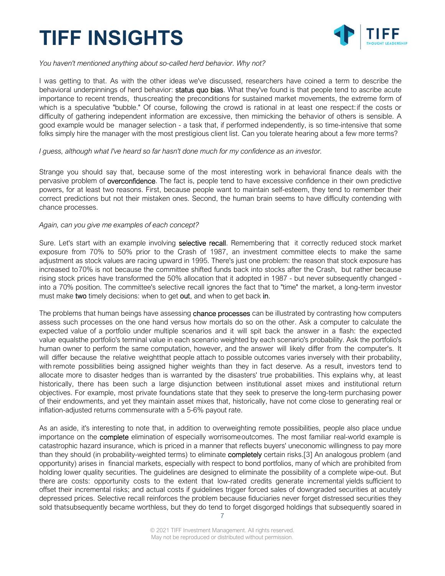

*You haven't mentioned anything about so-called herd behavior. Why not?*

I was getting to that. As with the other ideas we've discussed, researchers have coined a term to describe the behavioral underpinnings of herd behavior: status quo bias. What they've found is that people tend to ascribe acute importance to recent trends, thuscreating the preconditions for sustained market movements, the extreme form of which is a speculative "bubble." Of course, following the crowd is rational in at least one respect:if the costs or difficulty of gathering independent information are excessive, then mimicking the behavior of others is sensible. A good example would be manager selection - a task that, if performed independently, is so time-intensive that some folks simply hire the manager with the most prestigious client list. Can you tolerate hearing about a few more terms?

### *I guess, although what I've heard so far hasn't done much for my confidence as an investor.*

Strange you should say that, because some of the most interesting work in behavioral finance deals with the pervasive problem of overconfidence. The fact is, people tend to have excessive confidence in their own predictive powers, for at least two reasons. First, because people want to maintain self-esteem, they tend to remember their correct predictions but not their mistaken ones. Second, the human brain seems to have difficulty contending with chance processes.

### *Again, can you give me examples of each concept?*

Sure. Let's start with an example involving selective recall. Remembering that it correctly reduced stock market exposure from 70% to 50% prior to the Crash of 1987, an investment committee elects to make the same adjustment as stock values are racing upward in 1995. There's just one problem: the reason that stock exposure has increased to70% is not because the committee shifted funds back into stocks after the Crash, but rather because rising stock prices have transformed the 50% allocation that it adopted in 1987 - but never subsequently changed into a 70% position. The committee's selective recall ignores the fact that to "time" the market, a long-term investor must make two timely decisions: when to get out, and when to get back in.

The problems that human beings have assessing chance processes can be illustrated by contrasting how computers assess such processes on the one hand versus how mortals do so on the other. Ask a computer to calculate the expected value of a portfolio under multiple scenarios and it will spit back the answer in a flash: the expected value equalsthe portfolio's terminal value in each scenario weighted by each scenario's probability. Ask the portfolio's human owner to perform the same computation, however, and the answer will likely differ from the computer's. It will differ because the relative weightthat people attach to possible outcomes varies inversely with their probability, with remote possibilities being assigned higher weights than they in fact deserve. As a result, investors tend to allocate more to disaster hedges than is warranted by the disasters' true probabilities. This explains why, at least historically, there has been such a large disjunction between institutional asset mixes and institutional return objectives. For example, most private foundations state that they seek to preserve the long-term purchasing power of their endowments, and yet they maintain asset mixes that, historically, have not come close to generating real or inflation-adjusted returns commensurate with a 5-6% payout rate.

As an aside, it's interesting to note that, in addition to overweighting remote possibilities, people also place undue importance on the complete elimination of especially worrisomeoutcomes. The most familiar real-world example is catastrophic hazard insurance, which is priced in a manner that reflects buyers' uneconomic willingness to pay more than they should (in probability-weighted terms) to eliminate **completely** certain risks.[3] An analogous problem (and opportunity) arises in financial markets, especially with respect to bond portfolios, many of which are prohibited from holding lower quality securities. The guidelines are designed to eliminate the possibility of a complete wipe-out. But there are costs: opportunity costs to the extent that low-rated credits generate incremental yields sufficient to offset their incremental risks; and actual costs if guidelines trigger forced sales of downgraded securities at acutely depressed prices. Selective recall reinforces the problem because fiduciaries never forget distressed securities they sold thatsubsequently became worthless, but they do tend to forget disgorged holdings that subsequently soared in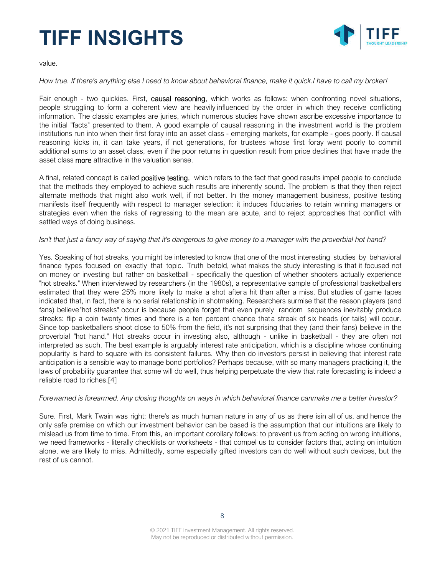

value.

### *How true. If there's anything else I need to know about behavioral finance, make it quick.I have to call my broker!*

Fair enough - two quickies. First, causal reasoning, which works as follows: when confronting novel situations, people struggling to form a coherent view are heavily influenced by the order in which they receive conflicting information. The classic examples are juries, which numerous studies have shown ascribe excessive importance to the initial "facts" presented to them. A good example of causal reasoning in the investment world is the problem institutions run into when their first foray into an asset class - emerging markets, for example - goes poorly. If causal reasoning kicks in, it can take years, if not generations, for trustees whose first foray went poorly to commit additional sums to an asset class, even if the poor returns in question result from price declines that have made the asset class **more** attractive in the valuation sense.

A final, related concept is called **positive testing**, which refers to the fact that good results impel people to conclude that the methods they employed to achieve such results are inherently sound. The problem is that they then reject alternate methods that might also work well, if not better. In the money management business, positive testing manifests itself frequently with respect to manager selection: it induces fiduciaries to retain winning managers or strategies even when the risks of regressing to the mean are acute, and to reject approaches that conflict with settled ways of doing business.

### *Isn't that just a fancy way of saying that it's dangerous to give money to a manager with the proverbial hot hand?*

Yes. Speaking of hot streaks, you might be interested to know that one of the most interesting studies by behavioral finance types focused on exactly that topic. Truth betold, what makes the study interesting is that it focused not on money or investing but rather on basketball - specifically the question of whether shooters actually experience "hot streaks." When interviewed by researchers (in the 1980s), a representative sample of professional basketballers estimated that they were 25% more likely to make a shot aftera hit than after a miss. But studies of game tapes indicated that, in fact, there is no serial relationship in shotmaking. Researchers surmise that the reason players (and fans) believe"hot streaks" occur is because people forget that even purely random sequences inevitably produce streaks: flip a coin twenty times and there is a ten percent chance thata streak of six heads (or tails) will occur. Since top basketballers shoot close to 50% from the field, it's not surprising that they (and their fans) believe in the proverbial "hot hand." Hot streaks occur in investing also, although - unlike in basketball - they are often not interpreted as such. The best example is arguably interest rate anticipation, which is a discipline whose continuing popularity is hard to square with its consistent failures. Why then do investors persist in believing that interest rate anticipation is a sensible way to manage bond portfolios? Perhaps because, with so many managers practicing it, the laws of probability guarantee that some will do well, thus helping perpetuate the view that rate forecasting is indeed a reliable road to riches.[4]

### *Forewarned is forearmed. Any closing thoughts on ways in which behavioral finance canmake me a better investor?*

Sure. First, Mark Twain was right: there's as much human nature in any of us as there isin all of us, and hence the only safe premise on which our investment behavior can be based is the assumption that our intuitions are likely to mislead us from time to time. From this, an important corollary follows: to prevent us from acting on wrong intuitions, we need frameworks - literally checklists or worksheets - that compel us to consider factors that, acting on intuition alone, we are likely to miss. Admittedly, some especially gifted investors can do well without such devices, but the rest of us cannot.